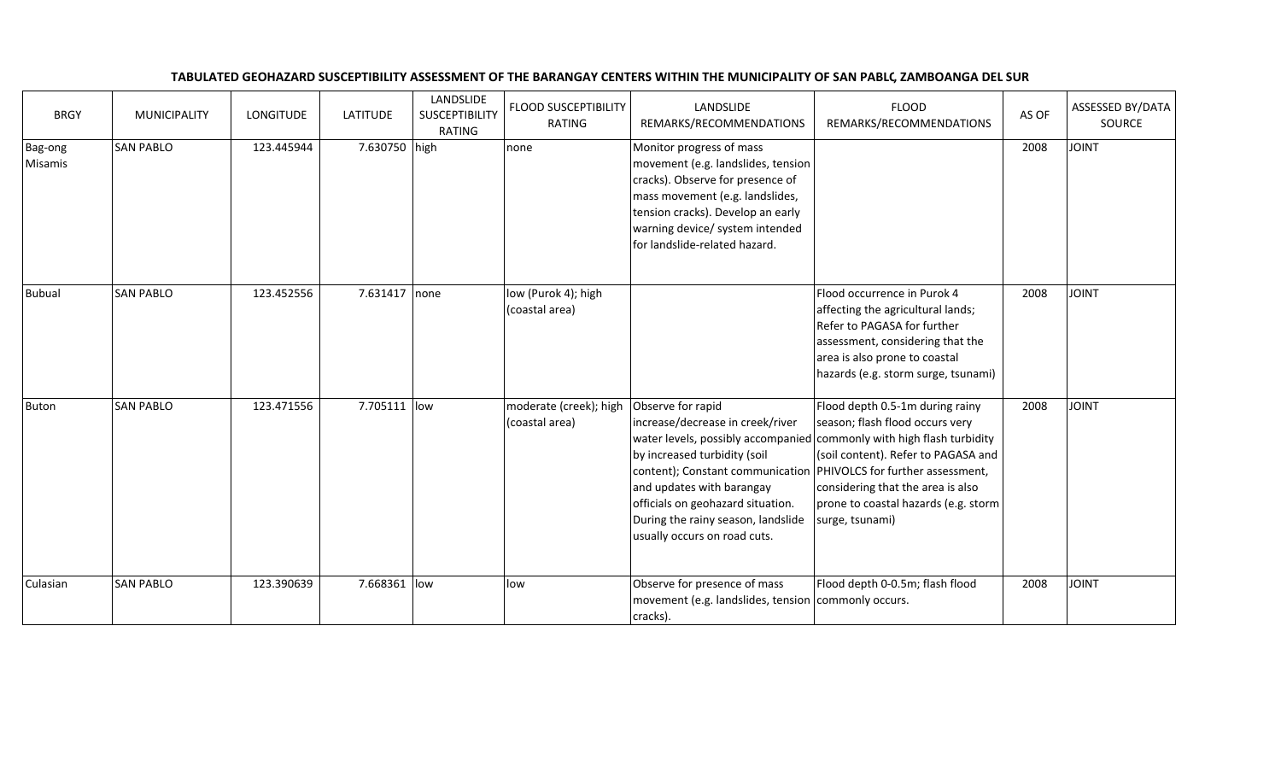| <b>BRGY</b>        | <b>MUNICIPALITY</b> | <b>LONGITUDE</b> | <b>LATITUDE</b> | LANDSLIDE<br><b>SUSCEPTIBILITY</b><br><b>RATING</b> | <b>FLOOD SUSCEPTIBILITY</b><br>RATING    | LANDSLIDE<br>REMARKS/RECOMMENDATIONS                                                                                                                                                                                                                                                                 | <b>FLOOD</b><br>REMARKS/RECOMMENDATIONS                                                                                                                                                                                                                                            | AS OF | ASSESSED BY/DATA<br>SOURCE |
|--------------------|---------------------|------------------|-----------------|-----------------------------------------------------|------------------------------------------|------------------------------------------------------------------------------------------------------------------------------------------------------------------------------------------------------------------------------------------------------------------------------------------------------|------------------------------------------------------------------------------------------------------------------------------------------------------------------------------------------------------------------------------------------------------------------------------------|-------|----------------------------|
| Bag-ong<br>Misamis | <b>SAN PABLO</b>    | 123.445944       | 7.630750 high   |                                                     | none                                     | Monitor progress of mass<br>movement (e.g. landslides, tension<br>cracks). Observe for presence of<br>mass movement (e.g. landslides,<br>tension cracks). Develop an early<br>warning device/ system intended<br>for landslide-related hazard.                                                       |                                                                                                                                                                                                                                                                                    | 2008  | <b>JOINT</b>               |
| <b>Bubual</b>      | <b>SAN PABLO</b>    | 123.452556       | 7.631417        | none                                                | low (Purok 4); high<br>(coastal area)    |                                                                                                                                                                                                                                                                                                      | Flood occurrence in Purok 4<br>affecting the agricultural lands;<br>Refer to PAGASA for further<br>assessment, considering that the<br>area is also prone to coastal<br>hazards (e.g. storm surge, tsunami)                                                                        | 2008  | <b>JOINT</b>               |
| Buton              | <b>SAN PABLO</b>    | 123.471556       | 7.705111 low    |                                                     | moderate (creek); high<br>(coastal area) | Observe for rapid<br>increase/decrease in creek/river<br>by increased turbidity (soil<br>content); Constant communication   PHIVOLCS for further assessment,<br>and updates with barangay<br>officials on geohazard situation.<br>During the rainy season, landslide<br>usually occurs on road cuts. | Flood depth 0.5-1m during rainy<br>season; flash flood occurs very<br>water levels, possibly accompanied commonly with high flash turbidity<br>(soil content). Refer to PAGASA and<br>considering that the area is also<br>prone to coastal hazards (e.g. storm<br>surge, tsunami) | 2008  | <b>JOINT</b>               |
| Culasian           | <b>SAN PABLO</b>    | 123.390639       | 7.668361 low    |                                                     | low                                      | Observe for presence of mass<br>movement (e.g. landslides, tension commonly occurs.<br>cracks).                                                                                                                                                                                                      | Flood depth 0-0.5m; flash flood                                                                                                                                                                                                                                                    | 2008  | <b>JOINT</b>               |

## TABULATED GEOHAZARD SUSCEPTIBILITY ASSESSMENT OF THE BARANGAY CENTERS WITHIN THE MUNICIPALITY OF SAN PABLC, ZAMBOANGA DEL SUR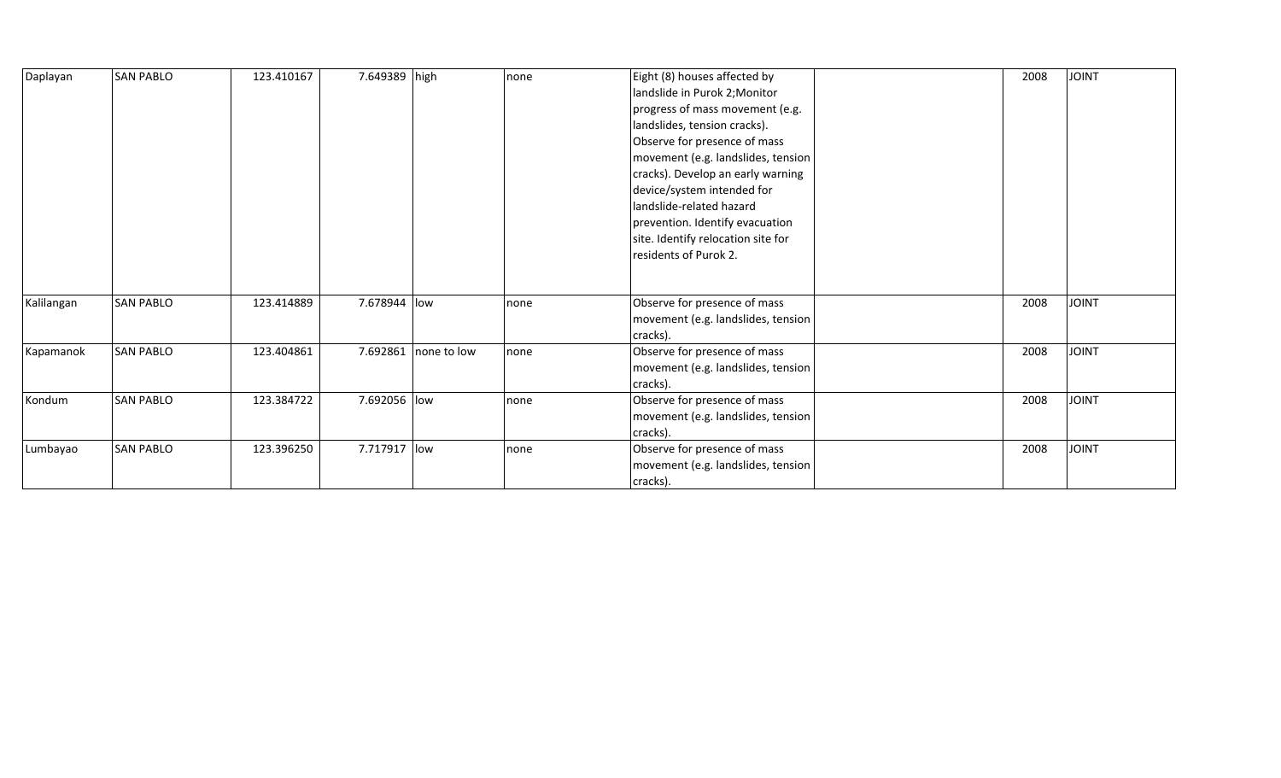| Daplayan   | <b>SAN PABLO</b> | 123.410167 | 7.649389 high |                        | none | Eight (8) houses affected by       | 2008 | <b>JOINT</b> |
|------------|------------------|------------|---------------|------------------------|------|------------------------------------|------|--------------|
|            |                  |            |               |                        |      | landslide in Purok 2; Monitor      |      |              |
|            |                  |            |               |                        |      | progress of mass movement (e.g.    |      |              |
|            |                  |            |               |                        |      | landslides, tension cracks).       |      |              |
|            |                  |            |               |                        |      | Observe for presence of mass       |      |              |
|            |                  |            |               |                        |      | movement (e.g. landslides, tension |      |              |
|            |                  |            |               |                        |      | cracks). Develop an early warning  |      |              |
|            |                  |            |               |                        |      | device/system intended for         |      |              |
|            |                  |            |               |                        |      | landslide-related hazard           |      |              |
|            |                  |            |               |                        |      | prevention. Identify evacuation    |      |              |
|            |                  |            |               |                        |      | site. Identify relocation site for |      |              |
|            |                  |            |               |                        |      | residents of Purok 2.              |      |              |
|            |                  |            |               |                        |      |                                    |      |              |
|            |                  |            |               |                        |      |                                    |      |              |
| Kalilangan | <b>SAN PABLO</b> | 123.414889 | 7.678944 low  |                        | none | Observe for presence of mass       | 2008 | <b>JOINT</b> |
|            |                  |            |               |                        |      | movement (e.g. landslides, tension |      |              |
|            |                  |            |               |                        |      | cracks).                           |      |              |
| Kapamanok  | <b>SAN PABLO</b> | 123.404861 |               | 7.692861   none to low | none | Observe for presence of mass       | 2008 | <b>JOINT</b> |
|            |                  |            |               |                        |      | movement (e.g. landslides, tension |      |              |
|            |                  |            |               |                        |      | cracks).                           |      |              |
| Kondum     | <b>SAN PABLO</b> | 123.384722 | 7.692056 low  |                        | none | Observe for presence of mass       | 2008 | <b>JOINT</b> |
|            |                  |            |               |                        |      | movement (e.g. landslides, tension |      |              |
|            |                  |            |               |                        |      | cracks).                           |      |              |
| Lumbayao   | <b>SAN PABLO</b> | 123.396250 | 7.717917 low  |                        | none | Observe for presence of mass       | 2008 | <b>JOINT</b> |
|            |                  |            |               |                        |      | movement (e.g. landslides, tension |      |              |
|            |                  |            |               |                        |      | cracks).                           |      |              |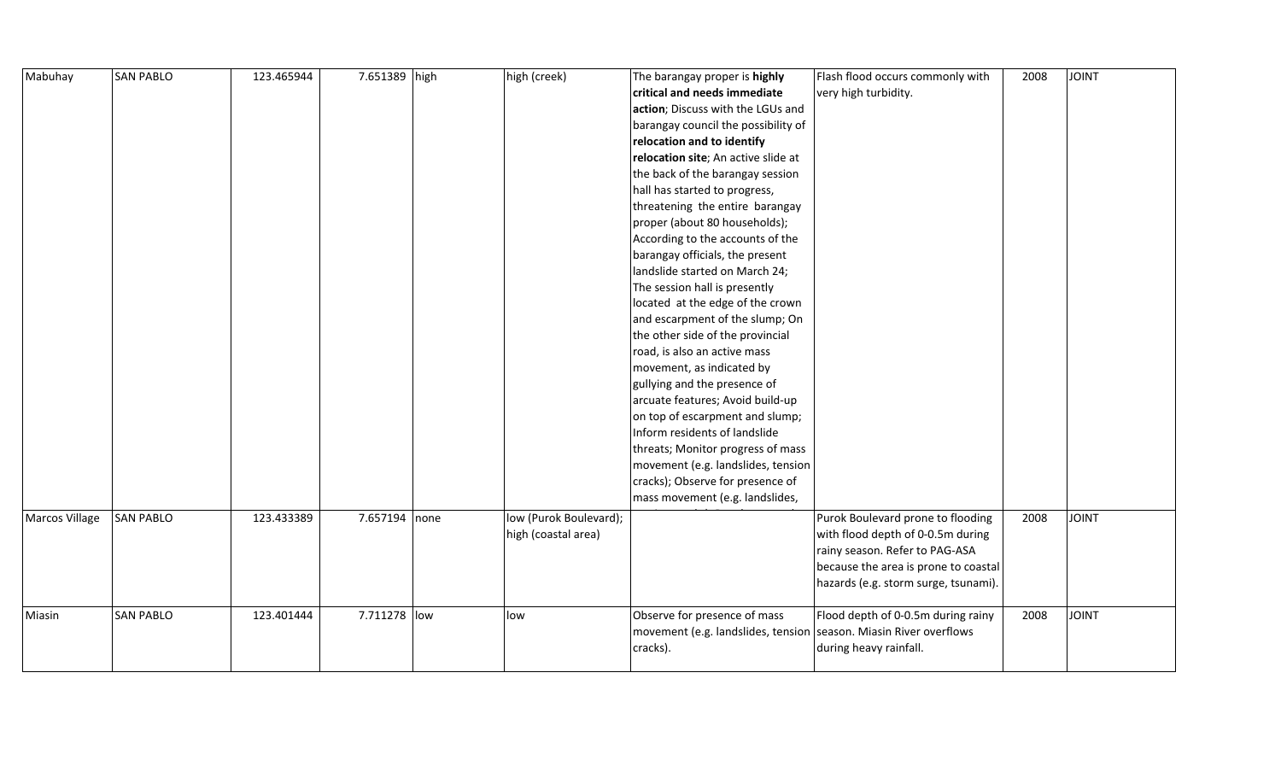| Mabuhay               | <b>SAN PABLO</b> | 123.465944 | 7.651389 high | high (creek)           | The barangay proper is highly       | Flash flood occurs commonly with     | 2008 | <b>TVIOL</b> |
|-----------------------|------------------|------------|---------------|------------------------|-------------------------------------|--------------------------------------|------|--------------|
|                       |                  |            |               |                        | critical and needs immediate        | very high turbidity.                 |      |              |
|                       |                  |            |               |                        | action; Discuss with the LGUs and   |                                      |      |              |
|                       |                  |            |               |                        | barangay council the possibility of |                                      |      |              |
|                       |                  |            |               |                        | relocation and to identify          |                                      |      |              |
|                       |                  |            |               |                        | relocation site; An active slide at |                                      |      |              |
|                       |                  |            |               |                        | the back of the barangay session    |                                      |      |              |
|                       |                  |            |               |                        | hall has started to progress,       |                                      |      |              |
|                       |                  |            |               |                        | threatening the entire barangay     |                                      |      |              |
|                       |                  |            |               |                        | proper (about 80 households);       |                                      |      |              |
|                       |                  |            |               |                        | According to the accounts of the    |                                      |      |              |
|                       |                  |            |               |                        | barangay officials, the present     |                                      |      |              |
|                       |                  |            |               |                        | landslide started on March 24;      |                                      |      |              |
|                       |                  |            |               |                        | The session hall is presently       |                                      |      |              |
|                       |                  |            |               |                        | located at the edge of the crown    |                                      |      |              |
|                       |                  |            |               |                        | and escarpment of the slump; On     |                                      |      |              |
|                       |                  |            |               |                        | the other side of the provincial    |                                      |      |              |
|                       |                  |            |               |                        | road, is also an active mass        |                                      |      |              |
|                       |                  |            |               |                        | movement, as indicated by           |                                      |      |              |
|                       |                  |            |               |                        | gullying and the presence of        |                                      |      |              |
|                       |                  |            |               |                        | arcuate features; Avoid build-up    |                                      |      |              |
|                       |                  |            |               |                        | on top of escarpment and slump;     |                                      |      |              |
|                       |                  |            |               |                        | Inform residents of landslide       |                                      |      |              |
|                       |                  |            |               |                        | threats; Monitor progress of mass   |                                      |      |              |
|                       |                  |            |               |                        | movement (e.g. landslides, tension  |                                      |      |              |
|                       |                  |            |               |                        | cracks); Observe for presence of    |                                      |      |              |
|                       |                  |            |               |                        | mass movement (e.g. landslides,     |                                      |      |              |
| <b>Marcos Village</b> | <b>SAN PABLO</b> | 123.433389 | 7.657194 none | low (Purok Boulevard); |                                     | Purok Boulevard prone to flooding    | 2008 | <b>TVIOL</b> |
|                       |                  |            |               | high (coastal area)    |                                     | with flood depth of 0-0.5m during    |      |              |
|                       |                  |            |               |                        |                                     | rainy season. Refer to PAG-ASA       |      |              |
|                       |                  |            |               |                        |                                     | because the area is prone to coastal |      |              |
|                       |                  |            |               |                        |                                     | hazards (e.g. storm surge, tsunami). |      |              |
|                       |                  |            |               |                        |                                     |                                      |      |              |
| Miasin                | <b>SAN PABLO</b> | 123.401444 | 7.711278 low  | low                    | Observe for presence of mass        | Flood depth of 0-0.5m during rainy   | 2008 | <b>JOINT</b> |
|                       |                  |            |               |                        | movement (e.g. landslides, tension  | season. Miasin River overflows       |      |              |
|                       |                  |            |               |                        | cracks).                            | during heavy rainfall.               |      |              |
|                       |                  |            |               |                        |                                     |                                      |      |              |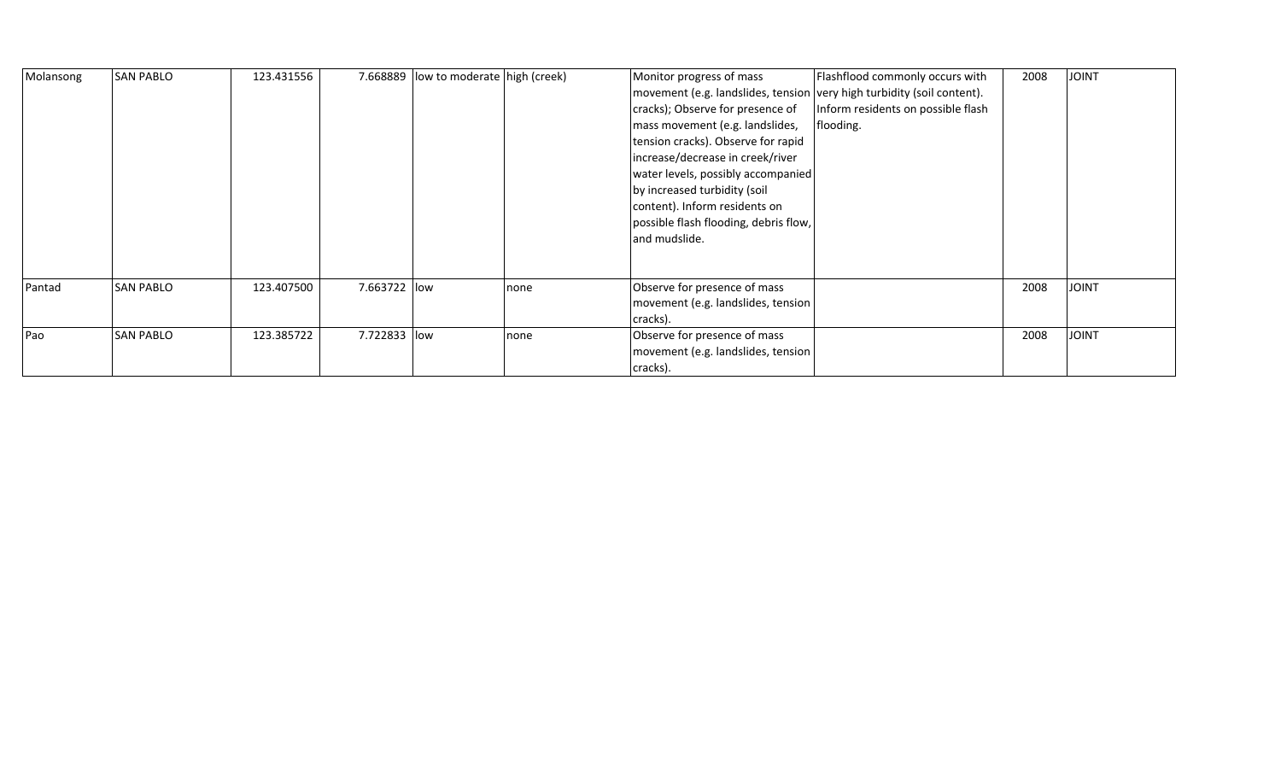| Molansong | <b>SAN PABLO</b> | 123.431556 |              | 7.668889 low to moderate high (creek) |      | Monitor progress of mass                                               | Flashflood commonly occurs with    | 2008 | <b>JOINT</b> |
|-----------|------------------|------------|--------------|---------------------------------------|------|------------------------------------------------------------------------|------------------------------------|------|--------------|
|           |                  |            |              |                                       |      | movement (e.g. landslides, tension very high turbidity (soil content). |                                    |      |              |
|           |                  |            |              |                                       |      | cracks); Observe for presence of                                       | Inform residents on possible flash |      |              |
|           |                  |            |              |                                       |      | mass movement (e.g. landslides,                                        | flooding.                          |      |              |
|           |                  |            |              |                                       |      | tension cracks). Observe for rapid                                     |                                    |      |              |
|           |                  |            |              |                                       |      | increase/decrease in creek/river                                       |                                    |      |              |
|           |                  |            |              |                                       |      | water levels, possibly accompanied                                     |                                    |      |              |
|           |                  |            |              |                                       |      | by increased turbidity (soil                                           |                                    |      |              |
|           |                  |            |              |                                       |      | content). Inform residents on                                          |                                    |      |              |
|           |                  |            |              |                                       |      | possible flash flooding, debris flow,                                  |                                    |      |              |
|           |                  |            |              |                                       |      | and mudslide.                                                          |                                    |      |              |
|           |                  |            |              |                                       |      |                                                                        |                                    |      |              |
|           |                  |            |              |                                       |      |                                                                        |                                    |      |              |
| Pantad    | <b>SAN PABLO</b> | 123.407500 | 7.663722 low |                                       | none | Observe for presence of mass                                           |                                    | 2008 | <b>JOINT</b> |
|           |                  |            |              |                                       |      | movement (e.g. landslides, tension                                     |                                    |      |              |
|           |                  |            |              |                                       |      | cracks).                                                               |                                    |      |              |
| Pao       | <b>SAN PABLO</b> | 123.385722 | 7.722833 low |                                       | none | Observe for presence of mass                                           |                                    | 2008 | <b>JOINT</b> |
|           |                  |            |              |                                       |      | movement (e.g. landslides, tension                                     |                                    |      |              |
|           |                  |            |              |                                       |      | cracks).                                                               |                                    |      |              |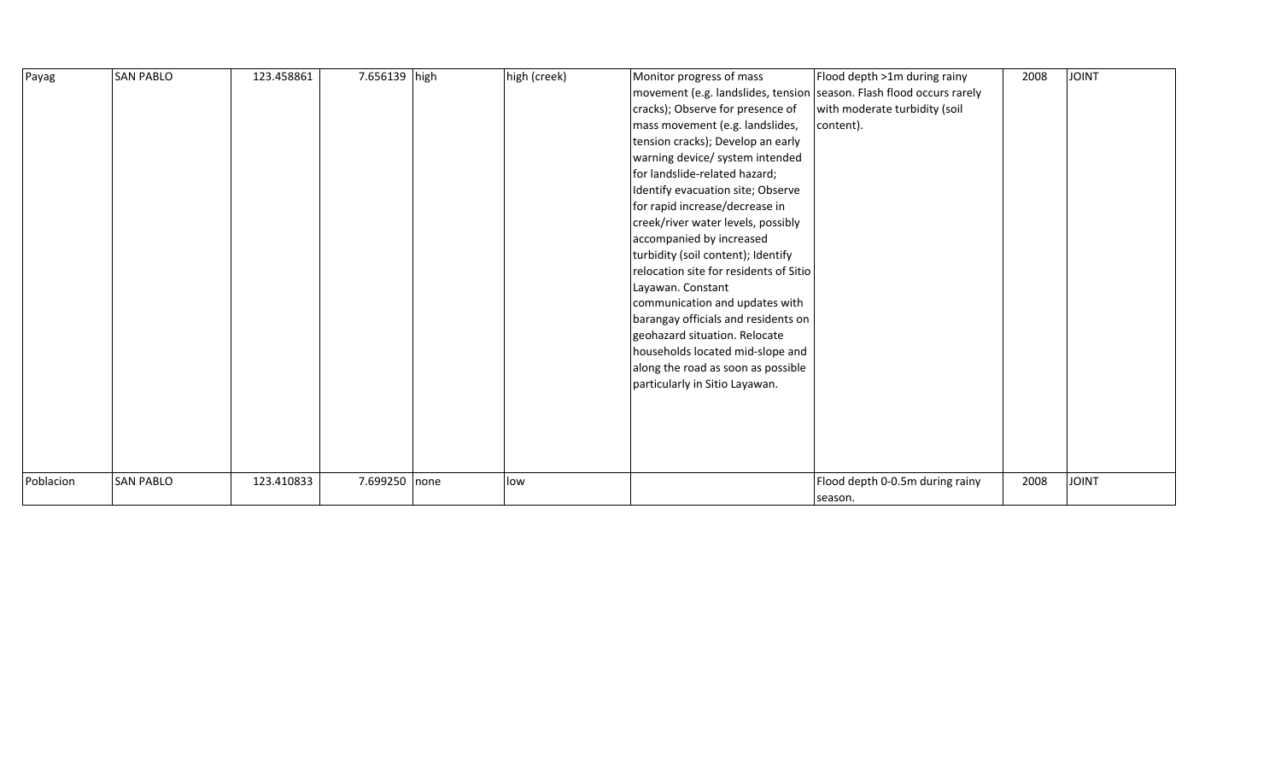| Payag     | <b>SAN PABLO</b> | 123.458861 | 7.656139 high | high (creek) | Monitor progress of mass<br>movement (e.g. landslides, tension season. Flash flood occurs rarely<br>cracks); Observe for presence of<br>mass movement (e.g. landslides,<br>tension cracks); Develop an early<br>warning device/ system intended<br>for landslide-related hazard;<br>Identify evacuation site; Observe<br>for rapid increase/decrease in<br>creek/river water levels, possibly<br>accompanied by increased<br>turbidity (soil content); Identify<br>relocation site for residents of Sitio<br>Layawan. Constant<br>communication and updates with<br>barangay officials and residents on<br>geohazard situation. Relocate<br>households located mid-slope and<br>along the road as soon as possible<br>particularly in Sitio Layawan. | Flood depth >1m during rainy<br>with moderate turbidity (soil<br>content). | 2008 | <b>JOINT</b> |
|-----------|------------------|------------|---------------|--------------|------------------------------------------------------------------------------------------------------------------------------------------------------------------------------------------------------------------------------------------------------------------------------------------------------------------------------------------------------------------------------------------------------------------------------------------------------------------------------------------------------------------------------------------------------------------------------------------------------------------------------------------------------------------------------------------------------------------------------------------------------|----------------------------------------------------------------------------|------|--------------|
| Poblacion | <b>SAN PABLO</b> | 123.410833 | 7.699250 none | low          |                                                                                                                                                                                                                                                                                                                                                                                                                                                                                                                                                                                                                                                                                                                                                      | Flood depth 0-0.5m during rainy<br>season.                                 | 2008 | <b>JOINT</b> |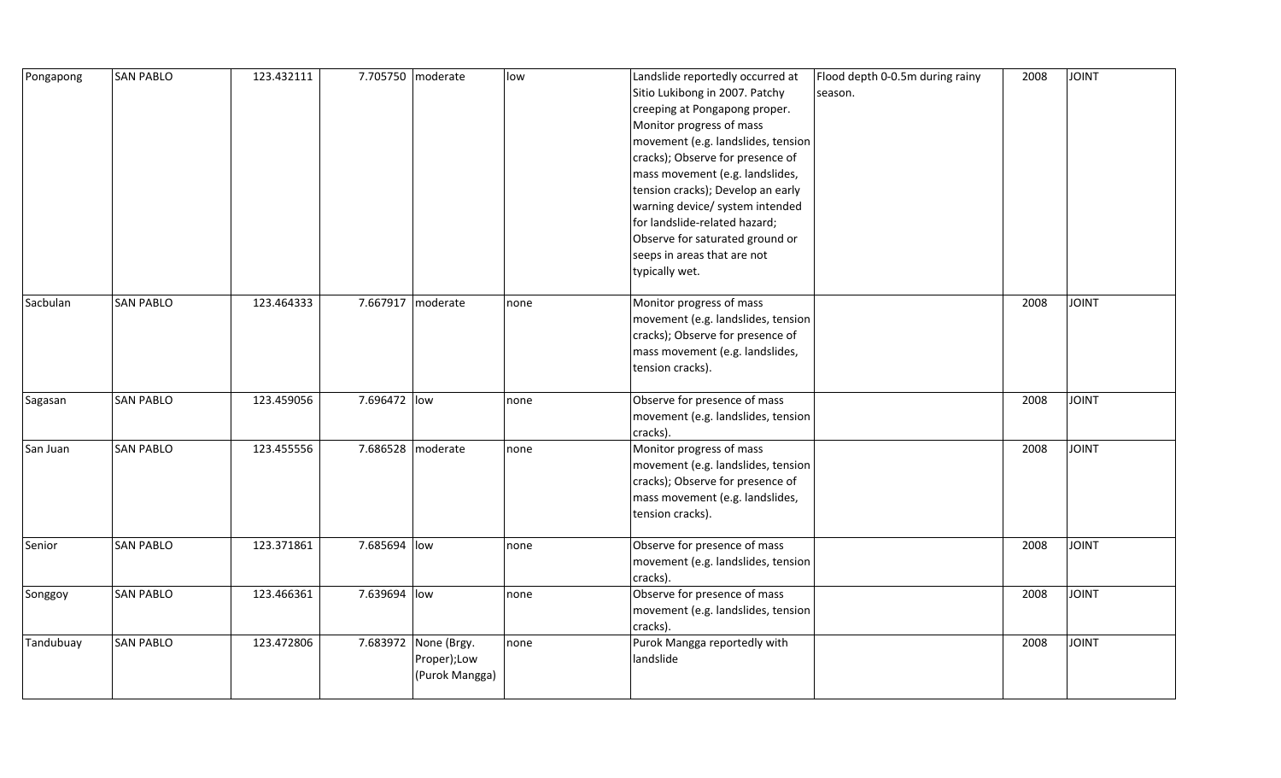| Pongapong | <b>SAN PABLO</b> | 123.432111 |              | 7.705750 moderate                                     | low  | Landslide reportedly occurred at<br>Sitio Lukibong in 2007. Patchy<br>creeping at Pongapong proper.<br>Monitor progress of mass<br>movement (e.g. landslides, tension<br>cracks); Observe for presence of<br>mass movement (e.g. landslides,<br>tension cracks); Develop an early<br>warning device/ system intended<br>for landslide-related hazard;<br>Observe for saturated ground or<br>seeps in areas that are not<br>typically wet. | Flood depth 0-0.5m during rainy<br>season. | 2008 | <b>JOINT</b> |
|-----------|------------------|------------|--------------|-------------------------------------------------------|------|-------------------------------------------------------------------------------------------------------------------------------------------------------------------------------------------------------------------------------------------------------------------------------------------------------------------------------------------------------------------------------------------------------------------------------------------|--------------------------------------------|------|--------------|
| Sacbulan  | <b>SAN PABLO</b> | 123.464333 |              | 7.667917 moderate                                     | none | Monitor progress of mass<br>movement (e.g. landslides, tension<br>cracks); Observe for presence of<br>mass movement (e.g. landslides,<br>tension cracks).                                                                                                                                                                                                                                                                                 |                                            | 2008 | <b>JOINT</b> |
| Sagasan   | <b>SAN PABLO</b> | 123.459056 | 7.696472 low |                                                       | none | Observe for presence of mass<br>movement (e.g. landslides, tension<br>cracks).                                                                                                                                                                                                                                                                                                                                                            |                                            | 2008 | <b>JOINT</b> |
| San Juan  | <b>SAN PABLO</b> | 123.455556 |              | 7.686528 moderate                                     | none | Monitor progress of mass<br>movement (e.g. landslides, tension<br>cracks); Observe for presence of<br>mass movement (e.g. landslides,<br>tension cracks).                                                                                                                                                                                                                                                                                 |                                            | 2008 | <b>JOINT</b> |
| Senior    | <b>SAN PABLO</b> | 123.371861 | 7.685694 low |                                                       | none | Observe for presence of mass<br>movement (e.g. landslides, tension<br>cracks).                                                                                                                                                                                                                                                                                                                                                            |                                            | 2008 | <b>JOINT</b> |
| Songgoy   | <b>SAN PABLO</b> | 123.466361 | 7.639694 low |                                                       | none | Observe for presence of mass<br>movement (e.g. landslides, tension<br>cracks).                                                                                                                                                                                                                                                                                                                                                            |                                            | 2008 | <b>JOINT</b> |
| Tandubuay | <b>SAN PABLO</b> | 123.472806 |              | 7.683972 None (Brgy.<br>Proper);Low<br>(Purok Mangga) | none | Purok Mangga reportedly with<br>landslide                                                                                                                                                                                                                                                                                                                                                                                                 |                                            | 2008 | <b>JOINT</b> |